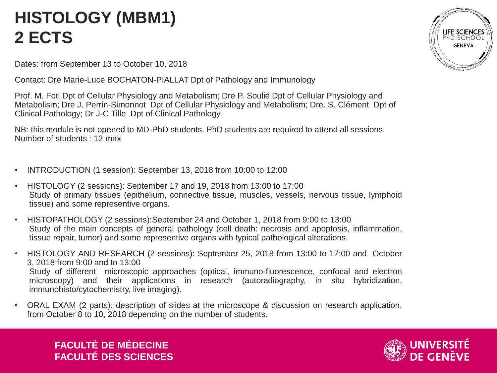## **HISTOLOGY (MBM1) 2 ECTS**

Dates: from September 13 to October 10, 2018

Contact: Dre Marie-Luce BOCHATON-PIALLAT Dpt of Pathology and Immunology

Prof. M. Foti Dpt of Cellular Physiology and Metabolism; Dre P. Soulié Dpt of Cellular Physiology and Metabolism; Dre J. Perrin-Simonnot Dpt of Cellular Physiology and Metabolism; Dre. S. Clément Dpt of Clinical Pathology; Dr J-C Tille Dpt of Clinical Pathology.

NB: this module is not opened to MD-PhD students. PhD students are required to attend all sessions. Number of students : 12 max

- INTRODUCTION (1 session): September 13, 2018 from 10:00 to 12:00
- HISTOLOGY (2 sessions): September 17 and 19, 2018 from 13:00 to 17:00 Study of primary tissues (epithelium, connective tissue, muscles, vessels, nervous tissue, lymphoid tissue) and some representive organs.
- HISTOPATHOLOGY (2 sessions):September 24 and October 1, 2018 from 9:00 to 13:00 Study of the main concepts of general pathology (cell death: necrosis and apoptosis, inflammation, tissue repair, tumor) and some representive organs with typical pathological alterations.
- HISTOLOGY AND RESEARCH (2 sessions): September 25, 2018 from 13:00 to 17:00 and October 3, 2018 from 9:00 and to 13:00 Study of different microscopic approaches (optical, immuno-fluorescence, confocal and electron microscopy) and their applications in research (autoradiography, in situ hybridization, immunohisto/cytochemistry, live imaging).
- ORAL EXAM (2 parts): description of slides at the microscope & discussion on research application, from October 8 to 10, 2018 depending on the number of students.



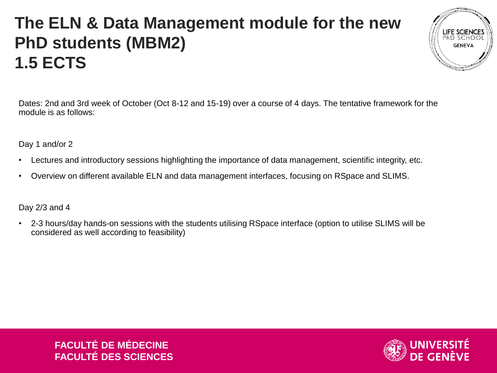### **The ELN & Data Management module for the new PhD students (MBM2) 1.5 ECTS**



Dates: 2nd and 3rd week of October (Oct 8-12 and 15-19) over a course of 4 days. The tentative framework for the module is as follows:

Day 1 and/or 2

- Lectures and introductory sessions highlighting the importance of data management, scientific integrity, etc.
- Overview on different available ELN and data management interfaces, focusing on RSpace and SLIMS.

Day 2/3 and 4

• 2-3 hours/day hands-on sessions with the students utilising RSpace interface (option to utilise SLIMS will be considered as well according to feasibility)

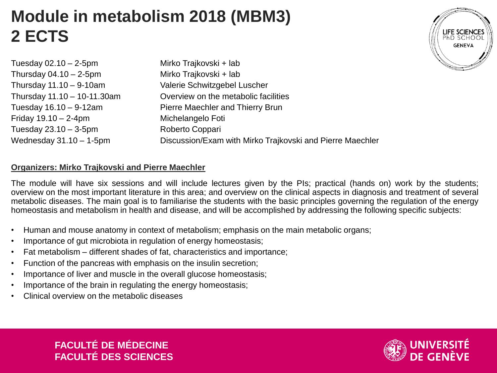### **Module in metabolism 2018 (MBM3) 2 ECTS**

| Tuesday $02.10 - 2-5$ pm    | Mirko Trajkovski + lab                                    |
|-----------------------------|-----------------------------------------------------------|
| Thursday $04.10 - 2-5$ pm   | Mirko Trajkovski + lab                                    |
| Thursday $11.10 - 9-10$ am  | Valerie Schwitzgebel Luscher                              |
| Thursday 11.10 - 10-11.30am | Overview on the metabolic facilities                      |
| Tuesday 16.10 - 9-12am      | Pierre Maechler and Thierry Brun                          |
| Friday $19.10 - 2 - 4$ pm   | Michelangelo Foti                                         |
| Tuesday $23.10 - 3-5$ pm    | Roberto Coppari                                           |
| Wednesday $31.10 - 1$ -5pm  | Discussion/Exam with Mirko Trajkovski and Pierre Maechler |

#### **Organizers: Mirko Trajkovski and Pierre Maechler**

The module will have six sessions and will include lectures given by the PIs; practical (hands on) work by the students; overview on the most important literature in this area; and overview on the clinical aspects in diagnosis and treatment of several metabolic diseases. The main goal is to familiarise the students with the basic principles governing the regulation of the energy homeostasis and metabolism in health and disease, and will be accomplished by addressing the following specific subjects:

- Human and mouse anatomy in context of metabolism; emphasis on the main metabolic organs;
- Importance of gut microbiota in regulation of energy homeostasis;
- Fat metabolism different shades of fat, characteristics and importance;
- Function of the pancreas with emphasis on the insulin secretion;
- Importance of liver and muscle in the overall glucose homeostasis;
- Importance of the brain in regulating the energy homeostasis:
- Clinical overview on the metabolic diseases





**LIFE SCIENCES** PHD SCHOO **GENEVA**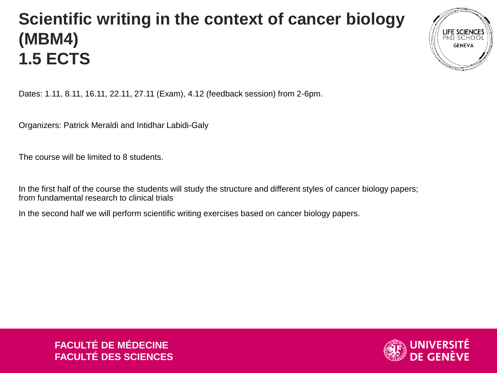## **Scientific writing in the context of cancer biology (MBM4) 1.5 ECTS**



Dates: 1.11, 8.11, 16.11, 22.11, 27.11 (Exam), 4.12 (feedback session) from 2-6pm.

Organizers: Patrick Meraldi and Intidhar Labidi-Galy

The course will be limited to 8 students.

In the first half of the course the students will study the structure and different styles of cancer biology papers; from fundamental research to clinical trials

In the second half we will perform scientific writing exercises based on cancer biology papers.

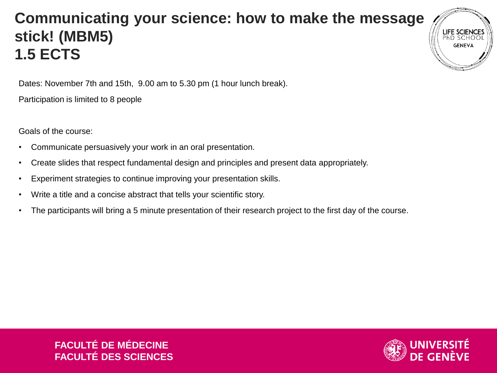### **Communicating your science: how to make the message stick! (MBM5) 1.5 ECTS**

Dates: November 7th and 15th, 9.00 am to 5.30 pm (1 hour lunch break).

Participation is limited to 8 people

Goals of the course:

- Communicate persuasively your work in an oral presentation.
- Create slides that respect fundamental design and principles and present data appropriately.
- Experiment strategies to continue improving your presentation skills.
- Write a title and a concise abstract that tells your scientific story.
- The participants will bring a 5 minute presentation of their research project to the first day of the course.

**FACULTÉ DE MÉDECINE FACULTÉ DES SCIENCES**



**GENEV**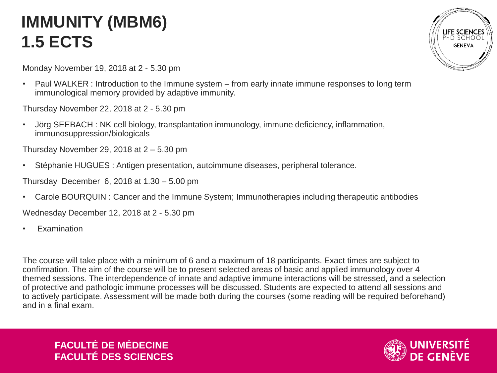### **IMMUNITY (MBM6) 1.5 ECTS**

Monday November 19, 2018 at 2 - 5.30 pm

• Paul WALKER: Introduction to the Immune system – from early innate immune responses to long term immunological memory provided by adaptive immunity.

Thursday November 22, 2018 at 2 - 5.30 pm

• Jörg SEEBACH : NK cell biology, transplantation immunology, immune deficiency, inflammation, immunosuppression/biologicals

Thursday November 29, 2018 at  $2 - 5.30$  pm

• Stéphanie HUGUES : Antigen presentation, autoimmune diseases, peripheral tolerance.

Thursday December 6, 2018 at 1.30 – 5.00 pm

• Carole BOURQUIN : Cancer and the Immune System; Immunotherapies including therapeutic antibodies

Wednesday December 12, 2018 at 2 - 5.30 pm

**Examination** 

The course will take place with a minimum of 6 and a maximum of 18 participants. Exact times are subject to confirmation. The aim of the course will be to present selected areas of basic and applied immunology over 4 themed sessions. The interdependence of innate and adaptive immune interactions will be stressed, and a selection of protective and pathologic immune processes will be discussed. Students are expected to attend all sessions and to actively participate. Assessment will be made both during the courses (some reading will be required beforehand) and in a final exam.



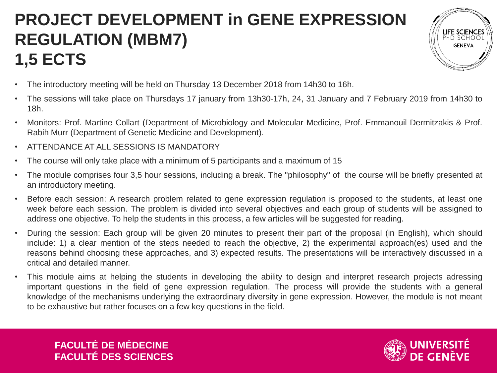# **PROJECT DEVELOPMENT in GENE EXPRESSION REGULATION (MBM7) 1,5 ECTS**



- The introductory meeting will be held on Thursday 13 December 2018 from 14h30 to 16h.
- The sessions will take place on Thursdays 17 january from 13h30-17h, 24, 31 January and 7 February 2019 from 14h30 to 18h.
- Monitors: Prof. Martine Collart (Department of Microbiology and Molecular Medicine, Prof. Emmanouil Dermitzakis & Prof. Rabih Murr (Department of Genetic Medicine and Development).
- ATTENDANCE AT ALL SESSIONS IS MANDATORY
- The course will only take place with a minimum of 5 participants and a maximum of 15
- The module comprises four 3,5 hour sessions, including a break. The "philosophy" of the course will be briefly presented at an introductory meeting.
- Before each session: A research problem related to gene expression regulation is proposed to the students, at least one week before each session. The problem is divided into several objectives and each group of students will be assigned to address one objective. To help the students in this process, a few articles will be suggested for reading.
- During the session: Each group will be given 20 minutes to present their part of the proposal (in English), which should include: 1) a clear mention of the steps needed to reach the objective, 2) the experimental approach(es) used and the reasons behind choosing these approaches, and 3) expected results. The presentations will be interactively discussed in a critical and detailed manner.
- This module aims at helping the students in developing the ability to design and interpret research projects adressing important questions in the field of gene expression regulation. The process will provide the students with a general knowledge of the mechanisms underlying the extraordinary diversity in gene expression. However, the module is not meant to be exhaustive but rather focuses on a few key questions in the field.

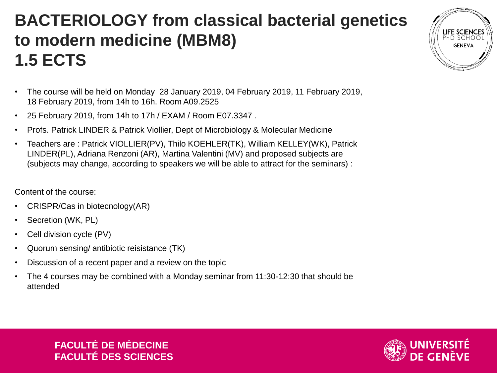### **BACTERIOLOGY from classical bacterial genetics to modern medicine (MBM8) 1.5 ECTS**

- The course will be held on Monday 28 January 2019, 04 February 2019, 11 February 2019, 18 February 2019, from 14h to 16h. Room A09.2525
- 25 February 2019, from 14h to 17h / EXAM / Room E07.3347 .
- Profs. Patrick LINDER & Patrick Viollier, Dept of Microbiology & Molecular Medicine
- Teachers are : Patrick VIOLLIER(PV), Thilo KOEHLER(TK), William KELLEY(WK), Patrick LINDER(PL), Adriana Renzoni (AR), Martina Valentini (MV) and proposed subjects are (subjects may change, according to speakers we will be able to attract for the seminars) :

Content of the course:

- CRISPR/Cas in biotecnology(AR)
- Secretion (WK, PL)
- Cell division cycle (PV)
- Quorum sensing/ antibiotic reisistance (TK)
- Discussion of a recent paper and a review on the topic
- The 4 courses may be combined with a Monday seminar from 11:30-12:30 that should be attended



LIFE SCIENCES **GENEVA**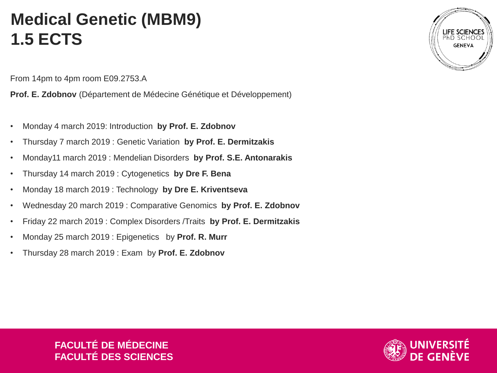### **Medical Genetic (MBM9) 1.5 ECTS**

From 14pm to 4pm room E09.2753.A

**Prof. E. Zdobnov** (Département de Médecine Génétique et Développement)

- Monday 4 march 2019: Introduction **by Prof. E. Zdobnov**
- Thursday 7 march 2019 : Genetic Variation **by Prof. E. Dermitzakis**
- Monday11 march 2019 : Mendelian Disorders **by Prof. S.E. Antonarakis**
- Thursday 14 march 2019 : Cytogenetics **by Dre F. Bena**
- Monday 18 march 2019 : Technology **by Dre E. Kriventseva**
- Wednesday 20 march 2019 : Comparative Genomics **by Prof. E. Zdobnov**
- Friday 22 march 2019 : Complex Disorders /Traits **by Prof. E. Dermitzakis**
- Monday 25 march 2019 : Epigenetics by **Prof. R. Murr**
- Thursday 28 march 2019 : Exam by **Prof. E. Zdobnov**



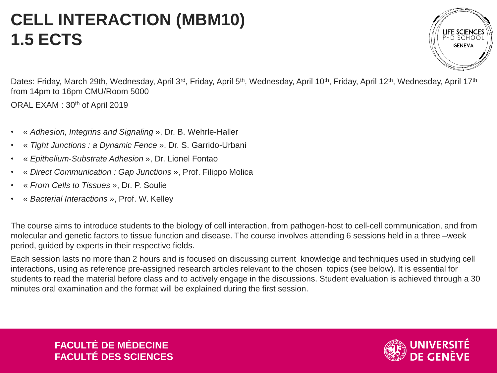### **CELL INTERACTION (MBM10) 1.5 ECTS**

**LIFE SCIENCES** PHD SCHO **GENEVA** 

Dates: Friday, March 29th, Wednesday, April 3<sup>rd</sup>, Friday, April 5<sup>th</sup>, Wednesday, April 10<sup>th</sup>, Friday, April 12<sup>th</sup>, Wednesday, April 17<sup>th</sup> from 14pm to 16pm CMU/Room 5000

ORAL EXAM: 30<sup>th</sup> of April 2019

- « *Adhesion, Integrins and Signaling* », Dr. B. Wehrle-Haller
- « *Tight Junctions : a Dynamic Fence* », Dr. S. Garrido-Urbani
- « *Epithelium-Substrate Adhesion* », Dr. Lionel Fontao
- « *Direct Communication : Gap Junctions* », Prof. Filippo Molica
- « *From Cells to Tissues* », Dr. P. Soulie
- « *Bacterial Interactions »*, Prof. W. Kelley

The course aims to introduce students to the biology of cell interaction, from pathogen-host to cell-cell communication, and from molecular and genetic factors to tissue function and disease. The course involves attending 6 sessions held in a three –week period, guided by experts in their respective fields.

Each session lasts no more than 2 hours and is focused on discussing current knowledge and techniques used in studying cell interactions, using as reference pre-assigned research articles relevant to the chosen topics (see below). It is essential for students to read the material before class and to actively engage in the discussions. Student evaluation is achieved through a 30 minutes oral examination and the format will be explained during the first session.

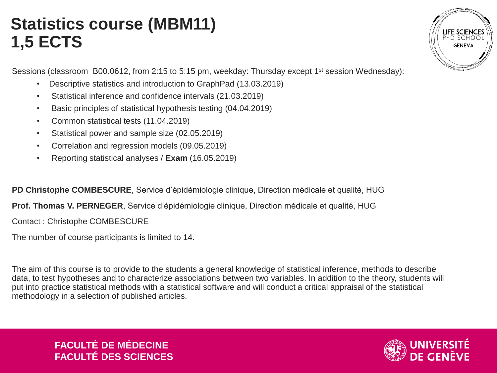### **Statistics course (MBM11) 1,5 ECTS**

Sessions (classroom B00.0612, from 2:15 to 5:15 pm, weekday: Thursday except 1<sup>st</sup> session Wednesday):

- Descriptive statistics and introduction to GraphPad (13.03.2019)
- Statistical inference and confidence intervals (21.03.2019)
- Basic principles of statistical hypothesis testing (04.04.2019)
- Common statistical tests (11.04.2019)
- Statistical power and sample size (02.05.2019)
- Correlation and regression models (09.05.2019)
- Reporting statistical analyses / **Exam** (16.05.2019)

**PD Christophe COMBESCURE**, Service d'épidémiologie clinique, Direction médicale et qualité, HUG

**Prof. Thomas V. PERNEGER**, Service d'épidémiologie clinique, Direction médicale et qualité, HUG

Contact : Christophe COMBESCURE

The number of course participants is limited to 14.

The aim of this course is to provide to the students a general knowledge of statistical inference, methods to describe data, to test hypotheses and to characterize associations between two variables. In addition to the theory, students will put into practice statistical methods with a statistical software and will conduct a critical appraisal of the statistical methodology in a selection of published articles.



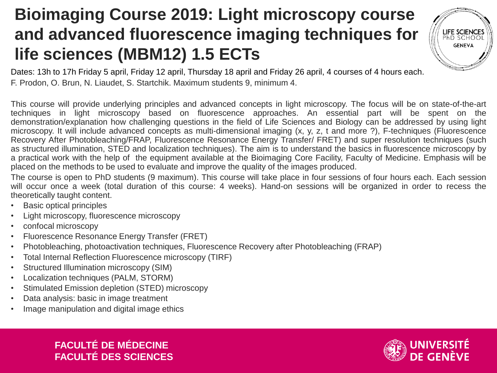## **Bioimaging Course 2019: Light microscopy course and advanced fluorescence imaging techniques for life sciences (MBM12) 1.5 ECTs**



Dates: 13h to 17h Friday 5 april, Friday 12 april, Thursday 18 april and Friday 26 april, 4 courses of 4 hours each. F. Prodon, O. Brun, N. Liaudet, S. Startchik. Maximum students 9, minimum 4.

This course will provide underlying principles and advanced concepts in light microscopy. The focus will be on state-of-the-art techniques in light microscopy based on fluorescence approaches. An essential part will be spent on the demonstration/explanation how challenging questions in the field of Life Sciences and Biology can be addressed by using light microscopy. It will include advanced concepts as multi-dimensional imaging (x, y, z, t and more ?), F-techniques (Fluorescence Recovery After Photobleaching/FRAP, Fluorescence Resonance Energy Transfer/ FRET) and super resolution techniques (such as structured illumination, STED and localization techniques). The aim is to understand the basics in fluorescence microscopy by a practical work with the help of the equipment available at the Bioimaging Core Facility, Faculty of Medicine. Emphasis will be placed on the methods to be used to evaluate and improve the quality of the images produced.

The course is open to PhD students (9 maximum). This course will take place in four sessions of four hours each. Each session will occur once a week (total duration of this course: 4 weeks). Hand-on sessions will be organized in order to recess the theoretically taught content.

- Basic optical principles
- Light microscopy, fluorescence microscopy
- confocal microscopy
- Fluorescence Resonance Energy Transfer (FRET)
- Photobleaching, photoactivation techniques, Fluorescence Recovery after Photobleaching (FRAP)
- Total Internal Reflection Fluorescence microscopy (TIRF)
- Structured Illumination microscopy (SIM)
- Localization techniques (PALM, STORM)
- Stimulated Emission depletion (STED) microscopy
- Data analysis: basic in image treatment
- Image manipulation and digital image ethics

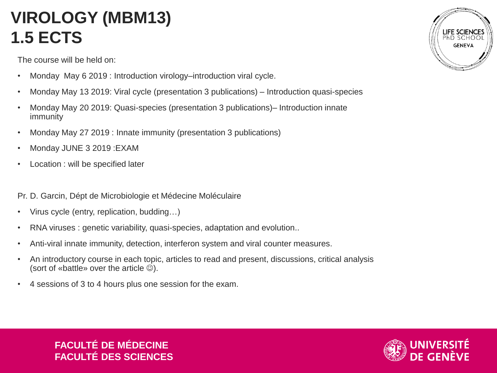# **VIROLOGY (MBM13) 1.5 ECTS**

The course will be held on:

- Monday May 6 2019 : Introduction virology–introduction viral cycle.
- Monday May 13 2019: Viral cycle (presentation 3 publications) Introduction quasi-species
- Monday May 20 2019: Quasi-species (presentation 3 publications)– Introduction innate immunity
- Monday May 27 2019 : Innate immunity (presentation 3 publications)
- Monday JUNE 3 2019 :EXAM
- Location : will be specified later

Pr. D. Garcin, Dépt de Microbiologie et Médecine Moléculaire

- Virus cycle (entry, replication, budding…)
- RNA viruses : genetic variability, quasi-species, adaptation and evolution..
- Anti-viral innate immunity, detection, interferon system and viral counter measures.
- An introductory course in each topic, articles to read and present, discussions, critical analysis (sort of «battle» over the article  $\circledcirc$ ).
- 4 sessions of 3 to 4 hours plus one session for the exam.